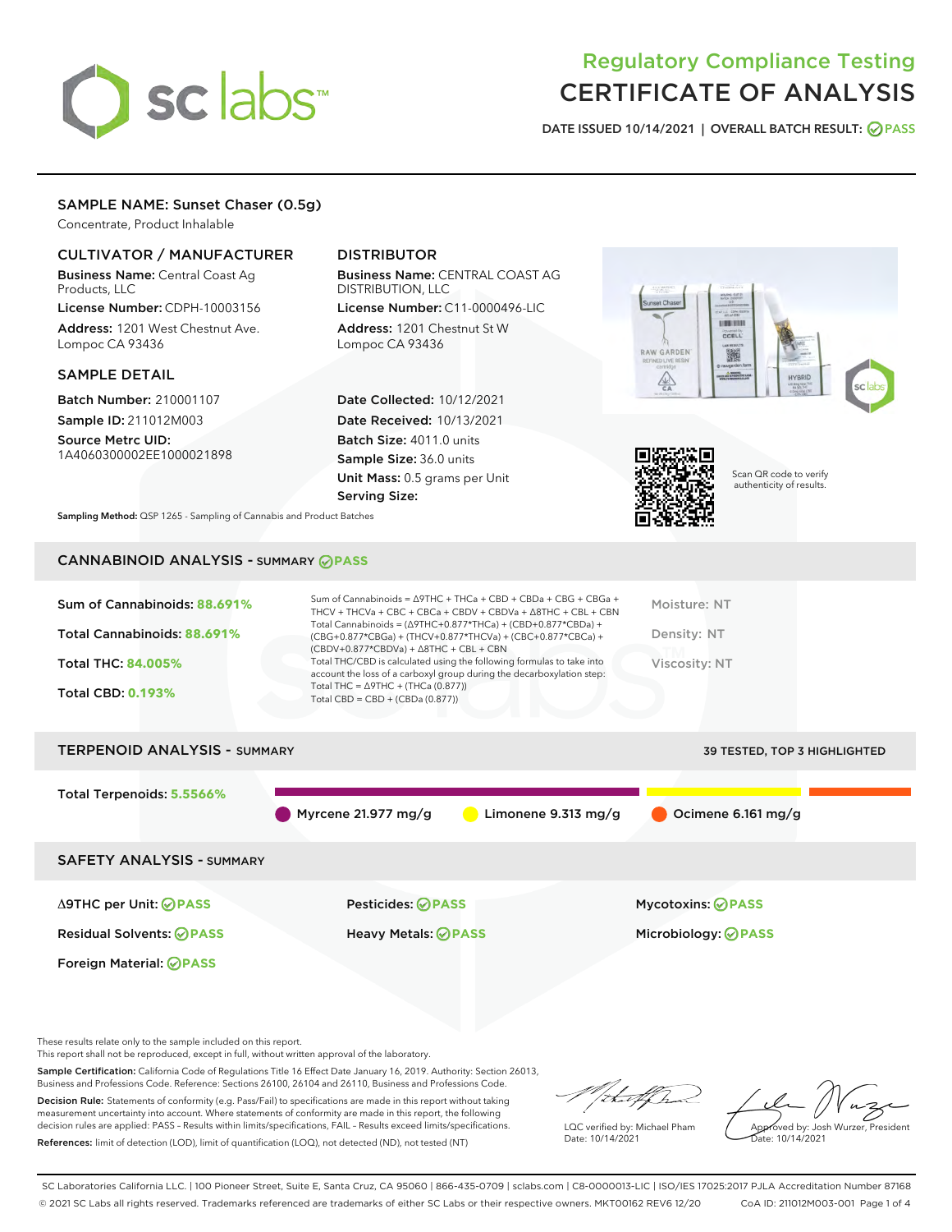# sclabs<sup>\*</sup>

## Regulatory Compliance Testing CERTIFICATE OF ANALYSIS

DATE ISSUED 10/14/2021 | OVERALL BATCH RESULT: @ PASS

#### SAMPLE NAME: Sunset Chaser (0.5g)

Concentrate, Product Inhalable

#### CULTIVATOR / MANUFACTURER

Business Name: Central Coast Ag Products, LLC

License Number: CDPH-10003156 Address: 1201 West Chestnut Ave. Lompoc CA 93436

#### SAMPLE DETAIL

Batch Number: 210001107 Sample ID: 211012M003

Source Metrc UID: 1A4060300002EE1000021898

#### DISTRIBUTOR

Business Name: CENTRAL COAST AG DISTRIBUTION, LLC License Number: C11-0000496-LIC

Address: 1201 Chestnut St W Lompoc CA 93436

Date Collected: 10/12/2021 Date Received: 10/13/2021 Batch Size: 4011.0 units Sample Size: 36.0 units Unit Mass: 0.5 grams per Unit Serving Size:





Scan QR code to verify authenticity of results.

Sampling Method: QSP 1265 - Sampling of Cannabis and Product Batches

### CANNABINOID ANALYSIS - SUMMARY **PASS**

| Sum of Cannabinoids: 88.691%<br>Total Cannabinoids: 88.691%<br><b>Total THC: 84,005%</b><br><b>Total CBD: 0.193%</b> | Sum of Cannabinoids = $\triangle$ 9THC + THCa + CBD + CBDa + CBG + CBGa +<br>THCV + THCVa + CBC + CBCa + CBDV + CBDVa + $\land$ 8THC + CBL + CBN<br>Total Cannabinoids = $(\Delta 9THC+0.877*THCa) + (CBD+0.877*CBDa) +$<br>(CBG+0.877*CBGa) + (THCV+0.877*THCVa) + (CBC+0.877*CBCa) +<br>$(CBDV+0.877*CBDVa) + \Delta 8THC + CBL + CBN$<br>Total THC/CBD is calculated using the following formulas to take into<br>account the loss of a carboxyl group during the decarboxylation step:<br>Total THC = $\triangle$ 9THC + (THCa (0.877))<br>Total CBD = $CBD + (CBDa (0.877))$ | Moisture: NT<br>Density: NT<br>Viscosity: NT |
|----------------------------------------------------------------------------------------------------------------------|-----------------------------------------------------------------------------------------------------------------------------------------------------------------------------------------------------------------------------------------------------------------------------------------------------------------------------------------------------------------------------------------------------------------------------------------------------------------------------------------------------------------------------------------------------------------------------------|----------------------------------------------|
| <b>TERPENOID ANALYSIS - SUMMARY</b>                                                                                  |                                                                                                                                                                                                                                                                                                                                                                                                                                                                                                                                                                                   | 39 TESTED, TOP 3 HIGHLIGHTED                 |
| Total Terpenoids: 5.5566%                                                                                            | Myrcene 21.977 mg/g<br>Limonene $9.313 \text{ mg/g}$                                                                                                                                                                                                                                                                                                                                                                                                                                                                                                                              | Ocimene 6.161 mg/g                           |

SAFETY ANALYSIS - SUMMARY

Δ9THC per Unit: **PASS** Pesticides: **PASS** Mycotoxins: **PASS**

Foreign Material: **PASS**

Residual Solvents: **PASS** Heavy Metals: **PASS** Microbiology: **PASS**

These results relate only to the sample included on this report.

This report shall not be reproduced, except in full, without written approval of the laboratory.

Sample Certification: California Code of Regulations Title 16 Effect Date January 16, 2019. Authority: Section 26013, Business and Professions Code. Reference: Sections 26100, 26104 and 26110, Business and Professions Code.

Decision Rule: Statements of conformity (e.g. Pass/Fail) to specifications are made in this report without taking measurement uncertainty into account. Where statements of conformity are made in this report, the following decision rules are applied: PASS – Results within limits/specifications, FAIL – Results exceed limits/specifications. References: limit of detection (LOD), limit of quantification (LOQ), not detected (ND), not tested (NT)

that fCh

LQC verified by: Michael Pham Date: 10/14/2021

Approved by: Josh Wurzer, President ate: 10/14/2021

SC Laboratories California LLC. | 100 Pioneer Street, Suite E, Santa Cruz, CA 95060 | 866-435-0709 | sclabs.com | C8-0000013-LIC | ISO/IES 17025:2017 PJLA Accreditation Number 87168 © 2021 SC Labs all rights reserved. Trademarks referenced are trademarks of either SC Labs or their respective owners. MKT00162 REV6 12/20 CoA ID: 211012M003-001 Page 1 of 4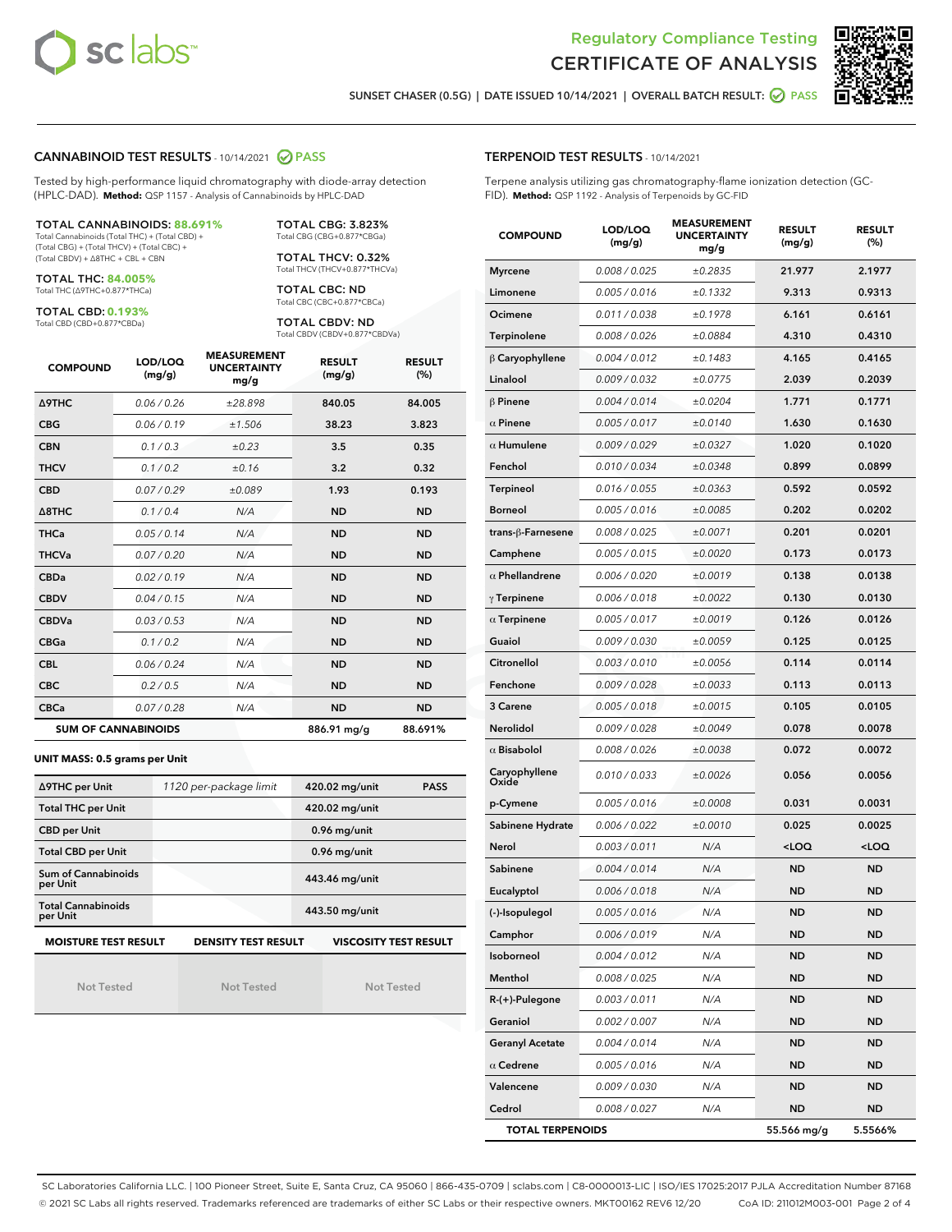



SUNSET CHASER (0.5G) | DATE ISSUED 10/14/2021 | OVERALL BATCH RESULT: 2 PASS

#### CANNABINOID TEST RESULTS - 10/14/2021 2 PASS

Tested by high-performance liquid chromatography with diode-array detection (HPLC-DAD). **Method:** QSP 1157 - Analysis of Cannabinoids by HPLC-DAD

#### TOTAL CANNABINOIDS: **88.691%**

Total Cannabinoids (Total THC) + (Total CBD) + (Total CBG) + (Total THCV) + (Total CBC) + (Total CBDV) + ∆8THC + CBL + CBN

TOTAL THC: **84.005%** Total THC (∆9THC+0.877\*THCa)

TOTAL CBD: **0.193%**

Total CBD (CBD+0.877\*CBDa)

TOTAL CBG: 3.823% Total CBG (CBG+0.877\*CBGa)

TOTAL THCV: 0.32% Total THCV (THCV+0.877\*THCVa)

TOTAL CBC: ND Total CBC (CBC+0.877\*CBCa)

TOTAL CBDV: ND Total CBDV (CBDV+0.877\*CBDVa)

| <b>COMPOUND</b>  | LOD/LOQ<br>(mg/g)          | <b>MEASUREMENT</b><br><b>UNCERTAINTY</b><br>mg/g | <b>RESULT</b><br>(mg/g) | <b>RESULT</b><br>(%) |
|------------------|----------------------------|--------------------------------------------------|-------------------------|----------------------|
| <b>A9THC</b>     | 0.06 / 0.26                | ±28.898                                          | 840.05                  | 84.005               |
| <b>CBG</b>       | 0.06/0.19                  | ±1.506                                           | 38.23                   | 3.823                |
| <b>CBN</b>       | 0.1 / 0.3                  | $\pm 0.23$                                       | 3.5                     | 0.35                 |
| <b>THCV</b>      | 0.1/0.2                    | ±0.16                                            | 3.2                     | 0.32                 |
| <b>CBD</b>       | 0.07/0.29                  | ±0.089                                           | 1.93                    | 0.193                |
| $\triangle$ 8THC | 0.1 / 0.4                  | N/A                                              | <b>ND</b>               | <b>ND</b>            |
| <b>THCa</b>      | 0.05/0.14                  | N/A                                              | <b>ND</b>               | <b>ND</b>            |
| <b>THCVa</b>     | 0.07/0.20                  | N/A                                              | <b>ND</b>               | <b>ND</b>            |
| <b>CBDa</b>      | 0.02/0.19                  | N/A                                              | <b>ND</b>               | <b>ND</b>            |
| <b>CBDV</b>      | 0.04/0.15                  | N/A                                              | <b>ND</b>               | <b>ND</b>            |
| <b>CBDVa</b>     | 0.03/0.53                  | N/A                                              | <b>ND</b>               | <b>ND</b>            |
| <b>CBGa</b>      | 0.1/0.2                    | N/A                                              | <b>ND</b>               | <b>ND</b>            |
| <b>CBL</b>       | 0.06 / 0.24                | N/A                                              | <b>ND</b>               | <b>ND</b>            |
| <b>CBC</b>       | 0.2 / 0.5                  | N/A                                              | <b>ND</b>               | <b>ND</b>            |
| <b>CBCa</b>      | 0.07/0.28                  | N/A                                              | <b>ND</b>               | <b>ND</b>            |
|                  | <b>SUM OF CANNABINOIDS</b> |                                                  | 886.91 mg/g             | 88.691%              |

**UNIT MASS: 0.5 grams per Unit**

| ∆9THC per Unit                        | 1120 per-package limit     | 420.02 mg/unit<br><b>PASS</b> |
|---------------------------------------|----------------------------|-------------------------------|
| <b>Total THC per Unit</b>             |                            | 420.02 mg/unit                |
| <b>CBD per Unit</b>                   |                            | $0.96$ mg/unit                |
| <b>Total CBD per Unit</b>             |                            | $0.96$ mg/unit                |
| Sum of Cannabinoids<br>per Unit       |                            | 443.46 mg/unit                |
| <b>Total Cannabinoids</b><br>per Unit |                            | 443.50 mg/unit                |
| <b>MOISTURE TEST RESULT</b>           | <b>DENSITY TEST RESULT</b> | <b>VISCOSITY TEST RESULT</b>  |

Not Tested

Not Tested

Not Tested

#### TERPENOID TEST RESULTS - 10/14/2021

Terpene analysis utilizing gas chromatography-flame ionization detection (GC-FID). **Method:** QSP 1192 - Analysis of Terpenoids by GC-FID

| <b>COMPOUND</b>         | LOD/LOQ<br>(mg/g) | <b>MEASUREMENT</b><br><b>UNCERTAINTY</b><br>mg/g | <b>RESULT</b><br>(mg/g)                         | <b>RESULT</b><br>$(\%)$ |
|-------------------------|-------------------|--------------------------------------------------|-------------------------------------------------|-------------------------|
| <b>Myrcene</b>          | 0.008 / 0.025     | ±0.2835                                          | 21.977                                          | 2.1977                  |
| Limonene                | 0.005 / 0.016     | ±0.1332                                          | 9.313                                           | 0.9313                  |
| Ocimene                 | 0.011 / 0.038     | ±0.1978                                          | 6.161                                           | 0.6161                  |
| Terpinolene             | 0.008 / 0.026     | ±0.0884                                          | 4.310                                           | 0.4310                  |
| $\beta$ Caryophyllene   | 0.004 / 0.012     | ±0.1483                                          | 4.165                                           | 0.4165                  |
| Linalool                | 0.009 / 0.032     | ±0.0775                                          | 2.039                                           | 0.2039                  |
| $\beta$ Pinene          | 0.004 / 0.014     | ±0.0204                                          | 1.771                                           | 0.1771                  |
| $\alpha$ Pinene         | 0.005 / 0.017     | ±0.0140                                          | 1.630                                           | 0.1630                  |
| $\alpha$ Humulene       | 0.009 / 0.029     | ±0.0327                                          | 1.020                                           | 0.1020                  |
| Fenchol                 | 0.010 / 0.034     | ±0.0348                                          | 0.899                                           | 0.0899                  |
| Terpineol               | 0.016 / 0.055     | ±0.0363                                          | 0.592                                           | 0.0592                  |
| <b>Borneol</b>          | 0.005 / 0.016     | ±0.0085                                          | 0.202                                           | 0.0202                  |
| trans-ß-Farnesene       | 0.008 / 0.025     | ±0.0071                                          | 0.201                                           | 0.0201                  |
| Camphene                | 0.005 / 0.015     | ±0.0020                                          | 0.173                                           | 0.0173                  |
| $\alpha$ Phellandrene   | 0.006 / 0.020     | ±0.0019                                          | 0.138                                           | 0.0138                  |
| $\gamma$ Terpinene      | 0.006 / 0.018     | ±0.0022                                          | 0.130                                           | 0.0130                  |
| $\alpha$ Terpinene      | 0.005 / 0.017     | ±0.0019                                          | 0.126                                           | 0.0126                  |
| Guaiol                  | 0.009 / 0.030     | ±0.0059                                          | 0.125                                           | 0.0125                  |
| Citronellol             | 0.003 / 0.010     | ±0.0056                                          | 0.114                                           | 0.0114                  |
| Fenchone                | 0.009 / 0.028     | ±0.0033                                          | 0.113                                           | 0.0113                  |
| 3 Carene                | 0.005 / 0.018     | ±0.0015                                          | 0.105                                           | 0.0105                  |
| Nerolidol               | 0.009 / 0.028     | ±0.0049                                          | 0.078                                           | 0.0078                  |
| $\alpha$ Bisabolol      | 0.008 / 0.026     | ±0.0038                                          | 0.072                                           | 0.0072                  |
| Caryophyllene<br>Oxide  | 0.010 / 0.033     | ±0.0026                                          | 0.056                                           | 0.0056                  |
| p-Cymene                | 0.005 / 0.016     | ±0.0008                                          | 0.031                                           | 0.0031                  |
| Sabinene Hydrate        | 0.006 / 0.022     | ±0.0010                                          | 0.025                                           | 0.0025                  |
| Nerol                   | 0.003 / 0.011     | N/A                                              | <loq< th=""><th><loq< th=""></loq<></th></loq<> | <loq< th=""></loq<>     |
| Sabinene                | 0.004 / 0.014     | N/A                                              | ND                                              | <b>ND</b>               |
| Eucalyptol              | 0.006 / 0.018     | N/A                                              | <b>ND</b>                                       | <b>ND</b>               |
| (-)-Isopulegol          | 0.005 / 0.016     | N/A                                              | ND                                              | <b>ND</b>               |
| Camphor                 | 0.006 / 0.019     | N/A                                              | ND                                              | ND                      |
| Isoborneol              | 0.004 / 0.012     | N/A                                              | ND                                              | ND                      |
| Menthol                 | 0.008 / 0.025     | N/A                                              | <b>ND</b>                                       | <b>ND</b>               |
| R-(+)-Pulegone          | 0.003 / 0.011     | N/A                                              | ND                                              | ND                      |
| Geraniol                | 0.002 / 0.007     | N/A                                              | ND                                              | ND                      |
| <b>Geranyl Acetate</b>  | 0.004 / 0.014     | N/A                                              | ND                                              | <b>ND</b>               |
| $\alpha$ Cedrene        | 0.005 / 0.016     | N/A                                              | ND                                              | ND                      |
| Valencene               | 0.009 / 0.030     | N/A                                              | ND                                              | ND                      |
| Cedrol                  | 0.008 / 0.027     | N/A                                              | ND                                              | <b>ND</b>               |
| <b>TOTAL TERPENOIDS</b> |                   |                                                  | 55.566 mg/g                                     | 5.5566%                 |

SC Laboratories California LLC. | 100 Pioneer Street, Suite E, Santa Cruz, CA 95060 | 866-435-0709 | sclabs.com | C8-0000013-LIC | ISO/IES 17025:2017 PJLA Accreditation Number 87168 © 2021 SC Labs all rights reserved. Trademarks referenced are trademarks of either SC Labs or their respective owners. MKT00162 REV6 12/20 CoA ID: 211012M003-001 Page 2 of 4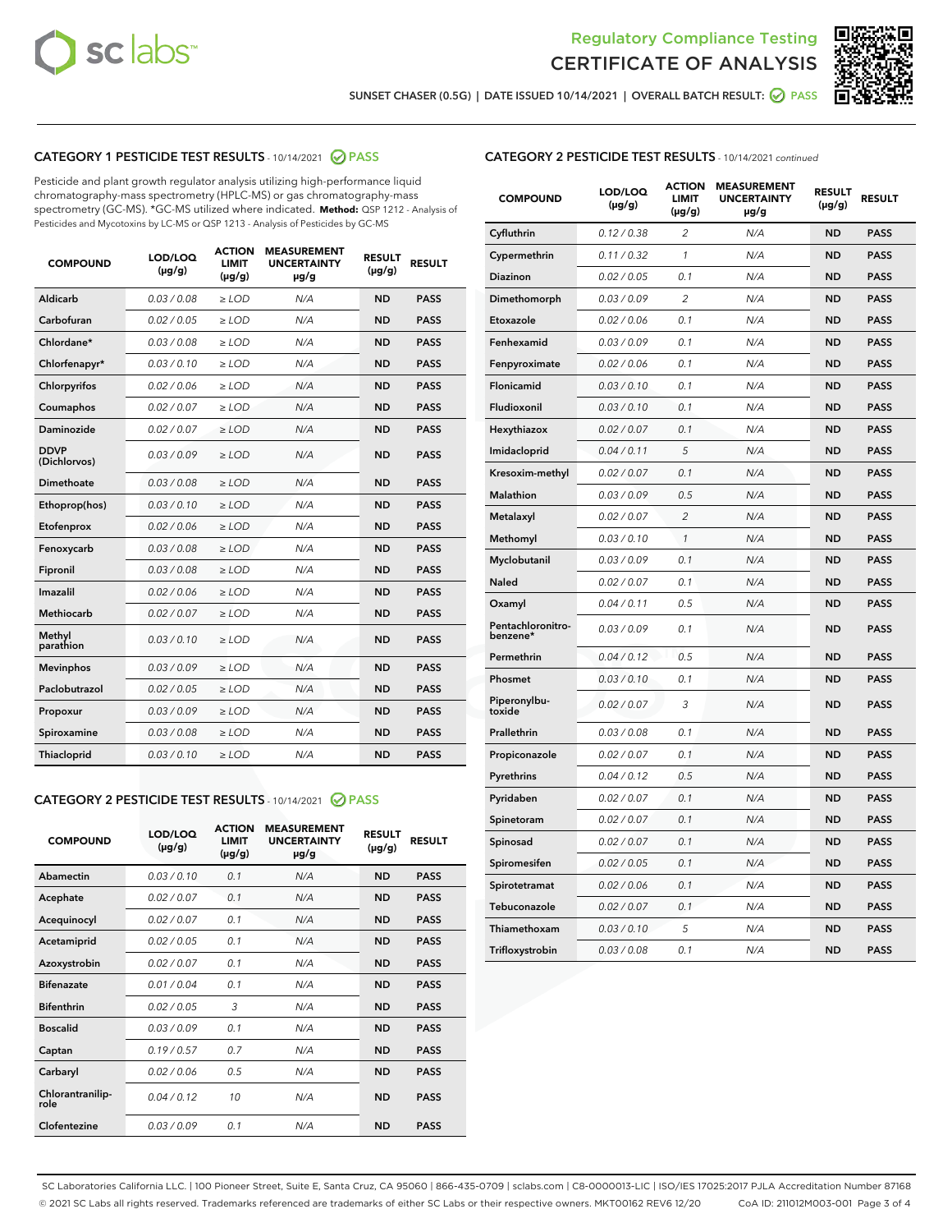



SUNSET CHASER (0.5G) | DATE ISSUED 10/14/2021 | OVERALL BATCH RESULT:  $\bigcirc$  PASS

#### CATEGORY 1 PESTICIDE TEST RESULTS - 10/14/2021 @ PASS

Pesticide and plant growth regulator analysis utilizing high-performance liquid chromatography-mass spectrometry (HPLC-MS) or gas chromatography-mass spectrometry (GC-MS). \*GC-MS utilized where indicated. **Method:** QSP 1212 - Analysis of Pesticides and Mycotoxins by LC-MS or QSP 1213 - Analysis of Pesticides by GC-MS

| Aldicarb<br>0.03 / 0.08<br>$\ge$ LOD<br><b>ND</b><br><b>PASS</b><br>N/A<br>Carbofuran<br>0.02/0.05<br>$>$ LOD<br>N/A<br><b>ND</b><br><b>PASS</b><br>Chlordane*<br>0.03 / 0.08<br>N/A<br><b>ND</b><br><b>PASS</b><br>$\ge$ LOD<br>Chlorfenapyr*<br>0.03/0.10<br>N/A<br><b>ND</b><br><b>PASS</b><br>$\ge$ LOD<br>N/A<br><b>ND</b><br><b>PASS</b><br>Chlorpyrifos<br>0.02 / 0.06<br>$\ge$ LOD<br>0.02 / 0.07<br>N/A<br>Coumaphos<br>$\ge$ LOD<br><b>ND</b><br><b>PASS</b><br>Daminozide<br>0.02 / 0.07<br>N/A<br><b>ND</b><br>$>$ LOD<br><b>PASS</b><br><b>DDVP</b><br>0.03/0.09<br>$\ge$ LOD<br>N/A<br><b>ND</b><br><b>PASS</b><br>(Dichlorvos)<br><b>Dimethoate</b><br>N/A<br><b>PASS</b><br>0.03/0.08<br>$\ge$ LOD<br><b>ND</b><br>0.03/0.10<br>N/A<br><b>ND</b><br><b>PASS</b><br>Ethoprop(hos)<br>$\ge$ LOD<br>0.02/0.06<br>N/A<br>$>$ LOD<br><b>ND</b><br><b>PASS</b><br>Etofenprox<br>0.03/0.08<br>N/A<br><b>ND</b><br>Fenoxycarb<br>$\ge$ LOD<br><b>PASS</b><br>0.03/0.08<br>$>$ LOD<br>N/A<br><b>ND</b><br><b>PASS</b><br>Fipronil<br>0.02 / 0.06<br>N/A<br>Imazalil<br>$\ge$ LOD<br><b>ND</b><br><b>PASS</b><br>Methiocarb<br>0.02 / 0.07<br>$\ge$ LOD<br>N/A<br><b>ND</b><br><b>PASS</b><br>Methyl<br>0.03/0.10<br>N/A<br><b>ND</b><br>$\ge$ LOD<br><b>PASS</b><br>parathion<br>0.03/0.09<br>N/A<br><b>ND</b><br><b>PASS</b><br><b>Mevinphos</b><br>$>$ LOD<br>Paclobutrazol<br>0.02 / 0.05<br>$\ge$ LOD<br>N/A<br><b>ND</b><br><b>PASS</b><br>0.03 / 0.09<br>N/A<br>$\ge$ LOD<br><b>ND</b><br><b>PASS</b><br>Propoxur<br>0.03 / 0.08<br><b>ND</b><br><b>PASS</b><br>Spiroxamine<br>$\ge$ LOD<br>N/A<br>0.03/0.10<br>N/A<br><b>ND</b><br><b>PASS</b><br>Thiacloprid<br>$\ge$ LOD | <b>COMPOUND</b> | LOD/LOQ<br>$(\mu g/g)$ | <b>ACTION</b><br><b>LIMIT</b><br>$(\mu g/g)$ | <b>MEASUREMENT</b><br><b>UNCERTAINTY</b><br>µg/g | <b>RESULT</b><br>$(\mu g/g)$ | <b>RESULT</b> |
|------------------------------------------------------------------------------------------------------------------------------------------------------------------------------------------------------------------------------------------------------------------------------------------------------------------------------------------------------------------------------------------------------------------------------------------------------------------------------------------------------------------------------------------------------------------------------------------------------------------------------------------------------------------------------------------------------------------------------------------------------------------------------------------------------------------------------------------------------------------------------------------------------------------------------------------------------------------------------------------------------------------------------------------------------------------------------------------------------------------------------------------------------------------------------------------------------------------------------------------------------------------------------------------------------------------------------------------------------------------------------------------------------------------------------------------------------------------------------------------------------------------------------------------------------------------------------------------------------------------------------------------------------------------------------------------|-----------------|------------------------|----------------------------------------------|--------------------------------------------------|------------------------------|---------------|
|                                                                                                                                                                                                                                                                                                                                                                                                                                                                                                                                                                                                                                                                                                                                                                                                                                                                                                                                                                                                                                                                                                                                                                                                                                                                                                                                                                                                                                                                                                                                                                                                                                                                                          |                 |                        |                                              |                                                  |                              |               |
|                                                                                                                                                                                                                                                                                                                                                                                                                                                                                                                                                                                                                                                                                                                                                                                                                                                                                                                                                                                                                                                                                                                                                                                                                                                                                                                                                                                                                                                                                                                                                                                                                                                                                          |                 |                        |                                              |                                                  |                              |               |
|                                                                                                                                                                                                                                                                                                                                                                                                                                                                                                                                                                                                                                                                                                                                                                                                                                                                                                                                                                                                                                                                                                                                                                                                                                                                                                                                                                                                                                                                                                                                                                                                                                                                                          |                 |                        |                                              |                                                  |                              |               |
|                                                                                                                                                                                                                                                                                                                                                                                                                                                                                                                                                                                                                                                                                                                                                                                                                                                                                                                                                                                                                                                                                                                                                                                                                                                                                                                                                                                                                                                                                                                                                                                                                                                                                          |                 |                        |                                              |                                                  |                              |               |
|                                                                                                                                                                                                                                                                                                                                                                                                                                                                                                                                                                                                                                                                                                                                                                                                                                                                                                                                                                                                                                                                                                                                                                                                                                                                                                                                                                                                                                                                                                                                                                                                                                                                                          |                 |                        |                                              |                                                  |                              |               |
|                                                                                                                                                                                                                                                                                                                                                                                                                                                                                                                                                                                                                                                                                                                                                                                                                                                                                                                                                                                                                                                                                                                                                                                                                                                                                                                                                                                                                                                                                                                                                                                                                                                                                          |                 |                        |                                              |                                                  |                              |               |
|                                                                                                                                                                                                                                                                                                                                                                                                                                                                                                                                                                                                                                                                                                                                                                                                                                                                                                                                                                                                                                                                                                                                                                                                                                                                                                                                                                                                                                                                                                                                                                                                                                                                                          |                 |                        |                                              |                                                  |                              |               |
|                                                                                                                                                                                                                                                                                                                                                                                                                                                                                                                                                                                                                                                                                                                                                                                                                                                                                                                                                                                                                                                                                                                                                                                                                                                                                                                                                                                                                                                                                                                                                                                                                                                                                          |                 |                        |                                              |                                                  |                              |               |
|                                                                                                                                                                                                                                                                                                                                                                                                                                                                                                                                                                                                                                                                                                                                                                                                                                                                                                                                                                                                                                                                                                                                                                                                                                                                                                                                                                                                                                                                                                                                                                                                                                                                                          |                 |                        |                                              |                                                  |                              |               |
|                                                                                                                                                                                                                                                                                                                                                                                                                                                                                                                                                                                                                                                                                                                                                                                                                                                                                                                                                                                                                                                                                                                                                                                                                                                                                                                                                                                                                                                                                                                                                                                                                                                                                          |                 |                        |                                              |                                                  |                              |               |
|                                                                                                                                                                                                                                                                                                                                                                                                                                                                                                                                                                                                                                                                                                                                                                                                                                                                                                                                                                                                                                                                                                                                                                                                                                                                                                                                                                                                                                                                                                                                                                                                                                                                                          |                 |                        |                                              |                                                  |                              |               |
|                                                                                                                                                                                                                                                                                                                                                                                                                                                                                                                                                                                                                                                                                                                                                                                                                                                                                                                                                                                                                                                                                                                                                                                                                                                                                                                                                                                                                                                                                                                                                                                                                                                                                          |                 |                        |                                              |                                                  |                              |               |
|                                                                                                                                                                                                                                                                                                                                                                                                                                                                                                                                                                                                                                                                                                                                                                                                                                                                                                                                                                                                                                                                                                                                                                                                                                                                                                                                                                                                                                                                                                                                                                                                                                                                                          |                 |                        |                                              |                                                  |                              |               |
|                                                                                                                                                                                                                                                                                                                                                                                                                                                                                                                                                                                                                                                                                                                                                                                                                                                                                                                                                                                                                                                                                                                                                                                                                                                                                                                                                                                                                                                                                                                                                                                                                                                                                          |                 |                        |                                              |                                                  |                              |               |
|                                                                                                                                                                                                                                                                                                                                                                                                                                                                                                                                                                                                                                                                                                                                                                                                                                                                                                                                                                                                                                                                                                                                                                                                                                                                                                                                                                                                                                                                                                                                                                                                                                                                                          |                 |                        |                                              |                                                  |                              |               |
|                                                                                                                                                                                                                                                                                                                                                                                                                                                                                                                                                                                                                                                                                                                                                                                                                                                                                                                                                                                                                                                                                                                                                                                                                                                                                                                                                                                                                                                                                                                                                                                                                                                                                          |                 |                        |                                              |                                                  |                              |               |
|                                                                                                                                                                                                                                                                                                                                                                                                                                                                                                                                                                                                                                                                                                                                                                                                                                                                                                                                                                                                                                                                                                                                                                                                                                                                                                                                                                                                                                                                                                                                                                                                                                                                                          |                 |                        |                                              |                                                  |                              |               |
|                                                                                                                                                                                                                                                                                                                                                                                                                                                                                                                                                                                                                                                                                                                                                                                                                                                                                                                                                                                                                                                                                                                                                                                                                                                                                                                                                                                                                                                                                                                                                                                                                                                                                          |                 |                        |                                              |                                                  |                              |               |
|                                                                                                                                                                                                                                                                                                                                                                                                                                                                                                                                                                                                                                                                                                                                                                                                                                                                                                                                                                                                                                                                                                                                                                                                                                                                                                                                                                                                                                                                                                                                                                                                                                                                                          |                 |                        |                                              |                                                  |                              |               |
|                                                                                                                                                                                                                                                                                                                                                                                                                                                                                                                                                                                                                                                                                                                                                                                                                                                                                                                                                                                                                                                                                                                                                                                                                                                                                                                                                                                                                                                                                                                                                                                                                                                                                          |                 |                        |                                              |                                                  |                              |               |
|                                                                                                                                                                                                                                                                                                                                                                                                                                                                                                                                                                                                                                                                                                                                                                                                                                                                                                                                                                                                                                                                                                                                                                                                                                                                                                                                                                                                                                                                                                                                                                                                                                                                                          |                 |                        |                                              |                                                  |                              |               |

#### CATEGORY 2 PESTICIDE TEST RESULTS - 10/14/2021 @ PASS

| <b>COMPOUND</b>          | LOD/LOQ<br>$(\mu g/g)$ | <b>ACTION</b><br><b>LIMIT</b><br>$(\mu g/g)$ | <b>MEASUREMENT</b><br><b>UNCERTAINTY</b><br>$\mu$ g/g | <b>RESULT</b><br>$(\mu g/g)$ | <b>RESULT</b> |
|--------------------------|------------------------|----------------------------------------------|-------------------------------------------------------|------------------------------|---------------|
| Abamectin                | 0.03/0.10              | 0.1                                          | N/A                                                   | <b>ND</b>                    | <b>PASS</b>   |
| Acephate                 | 0.02/0.07              | 0.1                                          | N/A                                                   | <b>ND</b>                    | <b>PASS</b>   |
| Acequinocyl              | 0.02/0.07              | 0.1                                          | N/A                                                   | <b>ND</b>                    | <b>PASS</b>   |
| Acetamiprid              | 0.02/0.05              | 0.1                                          | N/A                                                   | <b>ND</b>                    | <b>PASS</b>   |
| Azoxystrobin             | 0.02/0.07              | 0.1                                          | N/A                                                   | <b>ND</b>                    | <b>PASS</b>   |
| <b>Bifenazate</b>        | 0.01/0.04              | 0.1                                          | N/A                                                   | <b>ND</b>                    | <b>PASS</b>   |
| <b>Bifenthrin</b>        | 0.02 / 0.05            | 3                                            | N/A                                                   | <b>ND</b>                    | <b>PASS</b>   |
| <b>Boscalid</b>          | 0.03/0.09              | 0.1                                          | N/A                                                   | <b>ND</b>                    | <b>PASS</b>   |
| Captan                   | 0.19/0.57              | 0.7                                          | N/A                                                   | <b>ND</b>                    | <b>PASS</b>   |
| Carbaryl                 | 0.02/0.06              | 0.5                                          | N/A                                                   | <b>ND</b>                    | <b>PASS</b>   |
| Chlorantranilip-<br>role | 0.04/0.12              | 10                                           | N/A                                                   | <b>ND</b>                    | <b>PASS</b>   |
| Clofentezine             | 0.03/0.09              | 0.1                                          | N/A                                                   | <b>ND</b>                    | <b>PASS</b>   |

#### CATEGORY 2 PESTICIDE TEST RESULTS - 10/14/2021 continued

| <b>COMPOUND</b>               | LOD/LOQ<br>(µg/g) | <b>ACTION</b><br><b>LIMIT</b><br>$(\mu g/g)$ | <b>MEASUREMENT</b><br><b>UNCERTAINTY</b><br>µg/g | <b>RESULT</b><br>(µg/g) | <b>RESULT</b> |
|-------------------------------|-------------------|----------------------------------------------|--------------------------------------------------|-------------------------|---------------|
| Cyfluthrin                    | 0.12 / 0.38       | $\overline{c}$                               | N/A                                              | <b>ND</b>               | <b>PASS</b>   |
| Cypermethrin                  | 0.11 / 0.32       | 1                                            | N/A                                              | ND                      | <b>PASS</b>   |
| <b>Diazinon</b>               | 0.02 / 0.05       | 0.1                                          | N/A                                              | ND                      | <b>PASS</b>   |
| Dimethomorph                  | 0.03 / 0.09       | 2                                            | N/A                                              | ND                      | <b>PASS</b>   |
| Etoxazole                     | 0.02 / 0.06       | 0.1                                          | N/A                                              | ND                      | <b>PASS</b>   |
| Fenhexamid                    | 0.03 / 0.09       | 0.1                                          | N/A                                              | <b>ND</b>               | <b>PASS</b>   |
| Fenpyroximate                 | 0.02 / 0.06       | 0.1                                          | N/A                                              | ND                      | <b>PASS</b>   |
| Flonicamid                    | 0.03 / 0.10       | 0.1                                          | N/A                                              | ND                      | <b>PASS</b>   |
| Fludioxonil                   | 0.03 / 0.10       | 0.1                                          | N/A                                              | <b>ND</b>               | <b>PASS</b>   |
| Hexythiazox                   | 0.02 / 0.07       | 0.1                                          | N/A                                              | <b>ND</b>               | <b>PASS</b>   |
| Imidacloprid                  | 0.04 / 0.11       | 5                                            | N/A                                              | ND                      | <b>PASS</b>   |
| Kresoxim-methyl               | 0.02 / 0.07       | 0.1                                          | N/A                                              | <b>ND</b>               | <b>PASS</b>   |
| <b>Malathion</b>              | 0.03 / 0.09       | 0.5                                          | N/A                                              | <b>ND</b>               | <b>PASS</b>   |
| Metalaxyl                     | 0.02 / 0.07       | $\overline{c}$                               | N/A                                              | ND                      | <b>PASS</b>   |
| Methomyl                      | 0.03 / 0.10       | 1                                            | N/A                                              | <b>ND</b>               | <b>PASS</b>   |
| Myclobutanil                  | 0.03 / 0.09       | 0.1                                          | N/A                                              | ND                      | <b>PASS</b>   |
| Naled                         | 0.02 / 0.07       | 0.1                                          | N/A                                              | ND                      | <b>PASS</b>   |
| Oxamyl                        | 0.04 / 0.11       | 0.5                                          | N/A                                              | ND                      | <b>PASS</b>   |
| Pentachloronitro-<br>benzene* | 0.03 / 0.09       | 0.1                                          | N/A                                              | ND                      | <b>PASS</b>   |
| Permethrin                    | 0.04 / 0.12       | 0.5                                          | N/A                                              | ND                      | <b>PASS</b>   |
| Phosmet                       | 0.03 / 0.10       | 0.1                                          | N/A                                              | <b>ND</b>               | <b>PASS</b>   |
| Piperonylbu-<br>toxide        | 0.02 / 0.07       | 3                                            | N/A                                              | ND                      | <b>PASS</b>   |
| Prallethrin                   | 0.03 / 0.08       | 0.1                                          | N/A                                              | <b>ND</b>               | <b>PASS</b>   |
| Propiconazole                 | 0.02 / 0.07       | 0.1                                          | N/A                                              | ND                      | <b>PASS</b>   |
| Pyrethrins                    | 0.04 / 0.12       | 0.5                                          | N/A                                              | ND                      | <b>PASS</b>   |
| Pyridaben                     | 0.02 / 0.07       | 0.1                                          | N/A                                              | ND                      | <b>PASS</b>   |
| Spinetoram                    | 0.02 / 0.07       | 0.1                                          | N/A                                              | <b>ND</b>               | <b>PASS</b>   |
| Spinosad                      | 0.02 / 0.07       | 0.1                                          | N/A                                              | ND                      | <b>PASS</b>   |
| Spiromesifen                  | 0.02 / 0.05       | 0.1                                          | N/A                                              | <b>ND</b>               | <b>PASS</b>   |
| Spirotetramat                 | 0.02 / 0.06       | 0.1                                          | N/A                                              | ND                      | <b>PASS</b>   |
| Tebuconazole                  | 0.02 / 0.07       | 0.1                                          | N/A                                              | ND                      | <b>PASS</b>   |
| Thiamethoxam                  | 0.03 / 0.10       | 5                                            | N/A                                              | <b>ND</b>               | <b>PASS</b>   |
| Trifloxystrobin               | 0.03 / 0.08       | 0.1                                          | N/A                                              | <b>ND</b>               | <b>PASS</b>   |

SC Laboratories California LLC. | 100 Pioneer Street, Suite E, Santa Cruz, CA 95060 | 866-435-0709 | sclabs.com | C8-0000013-LIC | ISO/IES 17025:2017 PJLA Accreditation Number 87168 © 2021 SC Labs all rights reserved. Trademarks referenced are trademarks of either SC Labs or their respective owners. MKT00162 REV6 12/20 CoA ID: 211012M003-001 Page 3 of 4